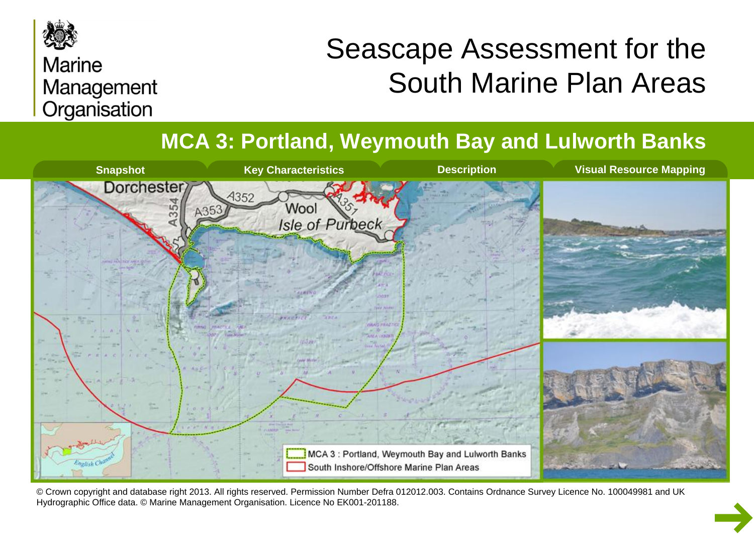

#### **Marine** Management Organisation

# Seascape Assessment for the South Marine Plan Areas

**MCA 3: Portland, Weymouth Bay and Lulworth Banks**



© Crown copyright and database right 2013. All rights reserved. Permission Number Defra 012012.003. Contains Ordnance Survey Licence No. 100049981 and UK Hydrographic Office data. © Marine Management Organisation. Licence No EK001-201188.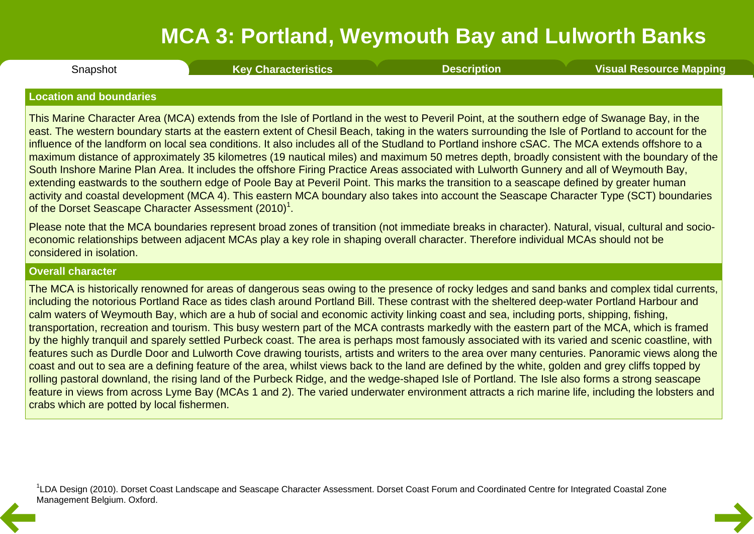<span id="page-1-0"></span>**Snapshot** 

Snapshot **Key [Characteristics](#page-3-0) [Description](#page-4-0) Visual [Resource](#page-9-0) Mapping**

#### **Location and boundaries**

This Marine Character Area (MCA) extends from the Isle of Portland in the west to Peveril Point, at the southern edge of Swanage Bay, in the east. The western boundary starts at the eastern extent of Chesil Beach, taking in the waters surrounding the Isle of Portland to account for the influence of the landform on local sea conditions. It also includes all of the Studland to Portland inshore cSAC. The MCA extends offshore to a maximum distance of approximately 35 kilometres (19 nautical miles) and maximum 50 metres depth, broadly consistent with the boundary of the South Inshore Marine Plan Area. It includes the offshore Firing Practice Areas associated with Lulworth Gunnery and all of Weymouth Bay, extending eastwards to the southern edge of Poole Bay at Peveril Point. This marks the transition to a seascape defined by greater human activity and coastal development (MCA 4). This eastern MCA boundary also takes into account the Seascape Character Type (SCT) boundaries of the Dorset Seascape Character Assessment (2010)<sup>1</sup>.

Please note that the MCA boundaries represent broad zones of transition (not immediate breaks in character). Natural, visual, cultural and socio economic relationships between adjacent MCAs play a key role in shaping overall character. Therefore individual MCAs should not be considered in isolation.

#### **Overall character**

The MCA is historically renowned for areas of dangerous seas owing to the presence of rocky ledges and sand banks and complex tidal currents, including the notorious Portland Race as tides clash around Portland Bill. These contrast with the sheltered deep-water Portland Harbour and calm waters of Weymouth Bay, which are a hub of social and economic activity linking coast and sea, including ports, shipping, fishing, transportation, recreation and tourism. This busy western part of the MCA contrasts markedly with the eastern part of the MCA, which is framed by the highly tranquil and sparely settled Purbeck coast. The area is perhaps most famously associated with its varied and scenic coastline, with features such as Durdle Door and Lulworth Cove drawing tourists, artists and writers to the area over many centuries. Panoramic views along the coast and out to sea are a defining feature of the area, whilst views back to the land are defined by the white, golden and grey cliffs topped by rolling pastoral downland, the rising land of the Purbeck Ridge, and the wedge-shaped Isle of Portland. The Isle also forms a strong seascape feature in views from across Lyme Bay (MCAs 1 and 2). The varied underwater environment attracts a rich marine life, including the lobsters and crabs which are potted by local fishermen.

<sup>1</sup>LDA Design (2010). Dorset Coast Landscape and Seascape Character Assessment. Dorset Coast Forum and Coordinated Centre for Integrated Coastal Zone Management Belgium. Oxford.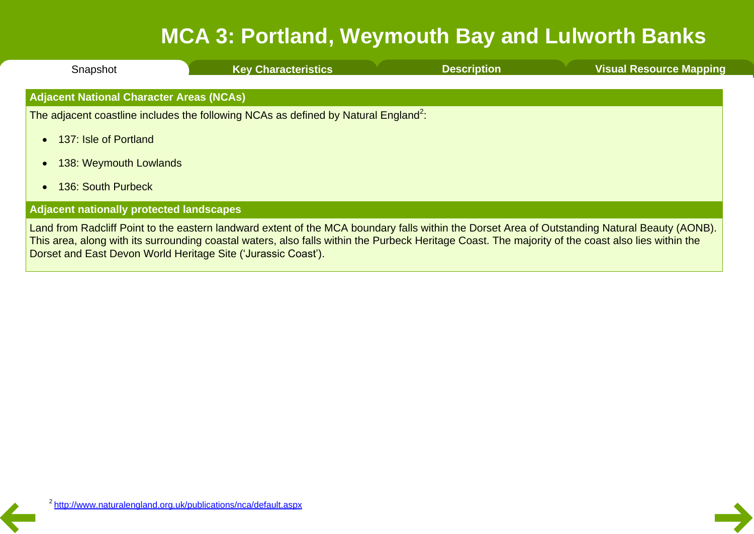| Snapshot                                        | <b>Key Characteristics</b>                                                                                                                                                                                                                                                                           | <b>Description</b> | <b>Visual Resource Mapping</b> |
|-------------------------------------------------|------------------------------------------------------------------------------------------------------------------------------------------------------------------------------------------------------------------------------------------------------------------------------------------------------|--------------------|--------------------------------|
| <b>Adjacent National Character Areas (NCAs)</b> |                                                                                                                                                                                                                                                                                                      |                    |                                |
|                                                 | The adjacent coastline includes the following NCAs as defined by Natural England <sup>2</sup> :                                                                                                                                                                                                      |                    |                                |
| 137: Isle of Portland                           |                                                                                                                                                                                                                                                                                                      |                    |                                |
| 138: Weymouth Lowlands                          |                                                                                                                                                                                                                                                                                                      |                    |                                |
| 136: South Purbeck                              |                                                                                                                                                                                                                                                                                                      |                    |                                |
| <b>Adjacent nationally protected landscapes</b> |                                                                                                                                                                                                                                                                                                      |                    |                                |
|                                                 | Land from Radcliff Point to the eastern landward extent of the MCA boundary falls within the Dorset Area of Outstanding Natural Beauty (AONB).<br>This area, along with its surrounding coastal waters, also falls within the Purbeck Heritage Coast. The majority of the coast also lies within the |                    |                                |

Dorset and East Devon World Heritage Site ('Jurassic Coast').

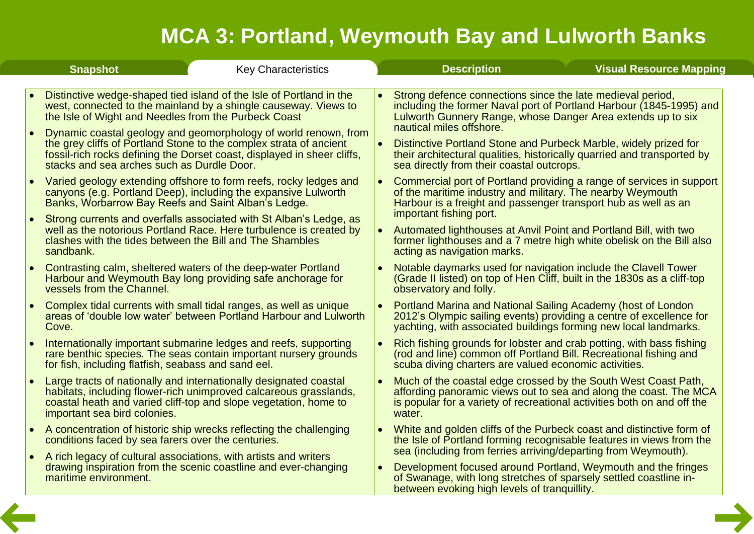<span id="page-3-0"></span>

|           | <b>Snapshot</b>                                                                                                        | <b>Key Characteristics</b>                                                                                                                                                                                                                                                                                                                                 | <b>Description</b>                                                                                                                                                                                                                                                                                                                                                                                                       | <b>Visual Resource Mapping</b> |  |
|-----------|------------------------------------------------------------------------------------------------------------------------|------------------------------------------------------------------------------------------------------------------------------------------------------------------------------------------------------------------------------------------------------------------------------------------------------------------------------------------------------------|--------------------------------------------------------------------------------------------------------------------------------------------------------------------------------------------------------------------------------------------------------------------------------------------------------------------------------------------------------------------------------------------------------------------------|--------------------------------|--|
| ∣•        | the Isle of Wight and Needles from the Purbeck Coast<br>stacks and sea arches such as Durdle Door.                     | Distinctive wedge-shaped tied island of the Isle of Portland in the<br>west, connected to the mainland by a shingle causeway. Views to<br>Dynamic coastal geology and geomorphology of world renown, from<br>the grey cliffs of Portland Stone to the complex strata of ancient<br>fossil-rich rocks defining the Dorset coast, displayed in sheer cliffs, | Strong defence connections since the late medieval period,<br>including the former Naval port of Portland Harbour (1845-1995) and<br>Lulworth Gunnery Range, whose Danger Area extends up to six<br>nautical miles offshore.<br>Distinctive Portland Stone and Purbeck Marble, widely prized for<br>their architectural qualities, historically quarried and transported by<br>sea directly from their coastal outcrops. |                                |  |
| $\bullet$ | Banks, Worbarrow Bay Reefs and Saint Alban's Ledge.                                                                    | Varied geology extending offshore to form reefs, rocky ledges and<br>canyons (e.g. Portland Deep), including the expansive Lulworth                                                                                                                                                                                                                        | Commercial port of Portland providing a range of services in support<br>of the maritime industry and military. The nearby Weymouth<br>Harbour is a freight and passenger transport hub as well as an<br>important fishing port.                                                                                                                                                                                          |                                |  |
| $\bullet$ | clashes with the tides between the Bill and The Shambles<br>sandbank.                                                  | Strong currents and overfalls associated with St Alban's Ledge, as<br>well as the notorious Portland Race. Here turbulence is created by                                                                                                                                                                                                                   | Automated lighthouses at Anvil Point and Portland Bill, with two<br>former lighthouses and a 7 metre high white obelisk on the Bill also<br>acting as navigation marks.                                                                                                                                                                                                                                                  |                                |  |
|           | vessels from the Channel.                                                                                              | Contrasting calm, sheltered waters of the deep-water Portland<br>Harbour and Weymouth Bay long providing safe anchorage for                                                                                                                                                                                                                                | Notable daymarks used for navigation include the Clavell Tower<br>(Grade II listed) on top of Hen Cliff, built in the 1830s as a cliff-top<br>observatory and folly.                                                                                                                                                                                                                                                     |                                |  |
|           | Cove.                                                                                                                  | Complex tidal currents with small tidal ranges, as well as unique<br>areas of 'double low water' between Portland Harbour and Luiworth                                                                                                                                                                                                                     | Portland Marina and National Sailing Academy (host of London<br>2012's Olympic sailing events) providing a centre of excellence for<br>yachting, with associated buildings forming new local landmarks.                                                                                                                                                                                                                  |                                |  |
|           | for fish, including flatfish, seabass and sand eel.                                                                    | Internationally important submarine ledges and reefs, supporting<br>rare benthic species. The seas contain important nursery grounds                                                                                                                                                                                                                       | Rich fishing grounds for lobster and crab potting, with bass fishing<br>(rod and line) common off Portland Bill. Recreational fishing and<br>scuba diving charters are valued economic activities.                                                                                                                                                                                                                       |                                |  |
| $\bullet$ | important sea bird colonies.                                                                                           | Large tracts of nationally and internationally designated coastal<br>habitats, including flower-rich unimproved calcareous grasslands,<br>coastal heath and varied cliff-top and slope vegetation, home to                                                                                                                                                 | Much of the coastal edge crossed by the South West Coast Path,<br>affording panoramic views out to sea and along the coast. The MCA<br>is popular for a variety of recreational activities both on and off the<br>water.                                                                                                                                                                                                 |                                |  |
| $\bullet$ | conditions faced by sea farers over the centuries.<br>A rich legacy of cultural associations, with artists and writers | A concentration of historic ship wrecks reflecting the challenging                                                                                                                                                                                                                                                                                         | White and golden cliffs of the Purbeck coast and distinctive form of<br>the Isle of Portland forming recognisable features in views from the<br>sea (including from ferries arriving/departing from Weymouth).                                                                                                                                                                                                           |                                |  |
|           | maritime environment.                                                                                                  | drawing inspiration from the scenic coastline and ever-changing                                                                                                                                                                                                                                                                                            | Development focused around Portland, Weymouth and the fringes<br>of Swanage, with long stretches of sparsely settled coastline in-<br>between evoking high levels of tranquillity.                                                                                                                                                                                                                                       |                                |  |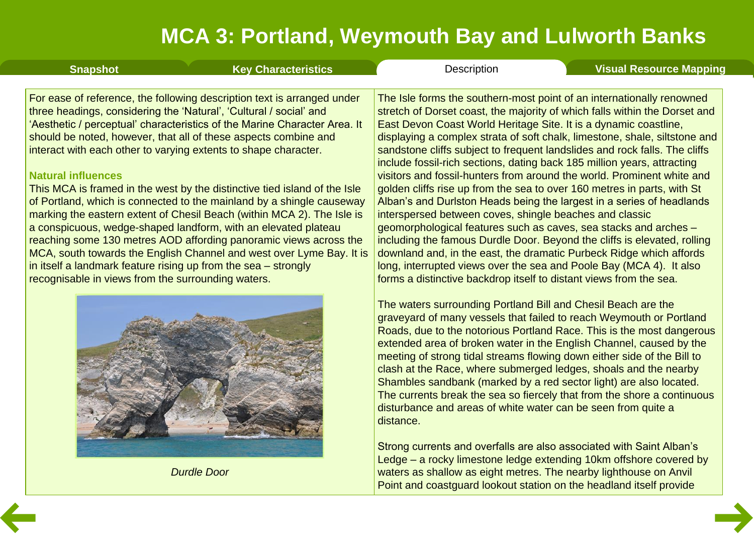<span id="page-4-0"></span>

| <b>Snapshot</b>                                                                                                                                                                                                                                                                                                                                                                                                                                                                                                                                                                                                                                                                                                                                                                                                                                                                                                                                                      | <b>Key Characteristics</b> | Description                                                                                                                                                                                                                                                                                                                                                                                                                                                                                                                                                                                                                                                                                                                                                                                                                                                                                                                                                                                                                                                                                                                 | <b>Visual Resource Mapping</b> |
|----------------------------------------------------------------------------------------------------------------------------------------------------------------------------------------------------------------------------------------------------------------------------------------------------------------------------------------------------------------------------------------------------------------------------------------------------------------------------------------------------------------------------------------------------------------------------------------------------------------------------------------------------------------------------------------------------------------------------------------------------------------------------------------------------------------------------------------------------------------------------------------------------------------------------------------------------------------------|----------------------------|-----------------------------------------------------------------------------------------------------------------------------------------------------------------------------------------------------------------------------------------------------------------------------------------------------------------------------------------------------------------------------------------------------------------------------------------------------------------------------------------------------------------------------------------------------------------------------------------------------------------------------------------------------------------------------------------------------------------------------------------------------------------------------------------------------------------------------------------------------------------------------------------------------------------------------------------------------------------------------------------------------------------------------------------------------------------------------------------------------------------------------|--------------------------------|
| For ease of reference, the following description text is arranged under<br>three headings, considering the 'Natural', 'Cultural / social' and<br>'Aesthetic / perceptual' characteristics of the Marine Character Area. It<br>should be noted, however, that all of these aspects combine and<br>interact with each other to varying extents to shape character.<br><b>Natural influences</b><br>This MCA is framed in the west by the distinctive tied island of the Isle<br>of Portland, which is connected to the mainland by a shingle causeway<br>marking the eastern extent of Chesil Beach (within MCA 2). The Isle is<br>a conspicuous, wedge-shaped landform, with an elevated plateau<br>reaching some 130 metres AOD affording panoramic views across the<br>MCA, south towards the English Channel and west over Lyme Bay. It is<br>in itself a landmark feature rising up from the sea - strongly<br>recognisable in views from the surrounding waters. |                            | The Isle forms the southern-most point of an internationally renowned<br>stretch of Dorset coast, the majority of which falls within the Dorset and<br>East Devon Coast World Heritage Site. It is a dynamic coastline,<br>displaying a complex strata of soft chalk, limestone, shale, siltstone and<br>sandstone cliffs subject to frequent landslides and rock falls. The cliffs<br>include fossil-rich sections, dating back 185 million years, attracting<br>visitors and fossil-hunters from around the world. Prominent white and<br>golden cliffs rise up from the sea to over 160 metres in parts, with St<br>Alban's and Durlston Heads being the largest in a series of headlands<br>interspersed between coves, shingle beaches and classic<br>geomorphological features such as caves, sea stacks and arches -<br>including the famous Durdle Door. Beyond the cliffs is elevated, rolling<br>downland and, in the east, the dramatic Purbeck Ridge which affords<br>long, interrupted views over the sea and Poole Bay (MCA 4). It also<br>forms a distinctive backdrop itself to distant views from the sea. |                                |
|                                                                                                                                                                                                                                                                                                                                                                                                                                                                                                                                                                                                                                                                                                                                                                                                                                                                                                                                                                      |                            | The waters surrounding Portland Bill and Chesil Beach are the<br>graveyard of many vessels that failed to reach Weymouth or Portland<br>Roads, due to the notorious Portland Race. This is the most dangerous<br>extended area of broken water in the English Channel, caused by the<br>meeting of strong tidal streams flowing down either side of the Bill to<br>clash at the Race, where submerged ledges, shoals and the nearby<br>Shambles sandbank (marked by a red sector light) are also located.<br>The currents break the sea so fiercely that from the shore a continuous<br>disturbance and areas of white water can be seen from quite a<br>distance.                                                                                                                                                                                                                                                                                                                                                                                                                                                          |                                |

Strong currents and overfalls are also associated with Saint Alban's Ledge – a rocky limestone ledge extending 10km offshore covered by waters as shallow as eight metres. The nearby lighthouse on Anvil Point and coastguard lookout station on the headland itself provide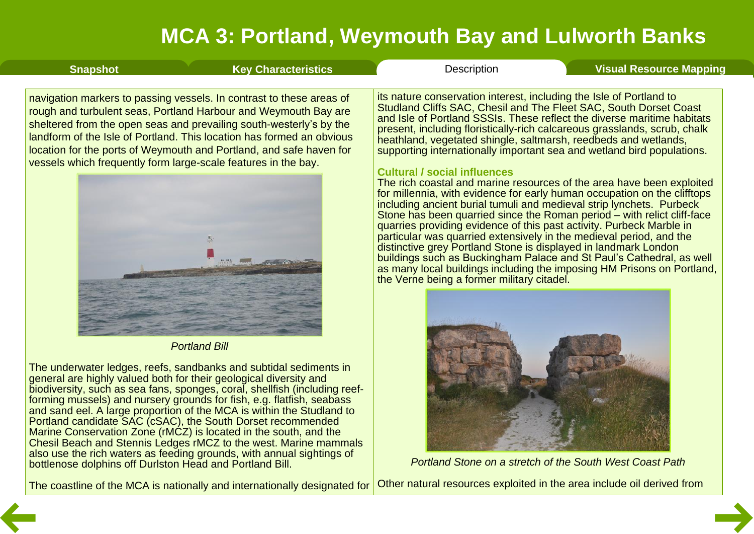| <b>Snapshot</b>                                                | <b>Key Characteristics</b>                                                                                                                                                                                                                                                                                                                                     | Description                                                                                                                                                                                                                                                                                                                                                                                                                                                                                                                                                                                                                                                                                                                                                                                                                                                                                                                                                                                                                                                                                                                                                                                                    | <b>Visual Resource Mapping</b> |
|----------------------------------------------------------------|----------------------------------------------------------------------------------------------------------------------------------------------------------------------------------------------------------------------------------------------------------------------------------------------------------------------------------------------------------------|----------------------------------------------------------------------------------------------------------------------------------------------------------------------------------------------------------------------------------------------------------------------------------------------------------------------------------------------------------------------------------------------------------------------------------------------------------------------------------------------------------------------------------------------------------------------------------------------------------------------------------------------------------------------------------------------------------------------------------------------------------------------------------------------------------------------------------------------------------------------------------------------------------------------------------------------------------------------------------------------------------------------------------------------------------------------------------------------------------------------------------------------------------------------------------------------------------------|--------------------------------|
| vessels which frequently form large-scale features in the bay. | navigation markers to passing vessels. In contrast to these areas of<br>rough and turbulent seas, Portland Harbour and Weymouth Bay are<br>sheltered from the open seas and prevailing south-westerly's by the<br>landform of the Isle of Portland. This location has formed an obvious<br>location for the ports of Weymouth and Portland, and safe haven for | its nature conservation interest, including the Isle of Portland to<br>Studland Cliffs SAC, Chesil and The Fleet SAC, South Dorset Coast<br>and Isle of Portland SSSIs. These reflect the diverse maritime habitats<br>present, including floristically-rich calcareous grasslands, scrub, chalk<br>heathland, vegetated shingle, saltmarsh, reedbeds and wetlands,<br>supporting internationally important sea and wetland bird populations.<br><b>Cultural / social influences</b><br>The rich coastal and marine resources of the area have been exploited<br>for millennia, with evidence for early human occupation on the clifftops<br>including ancient burial tumuli and medieval strip lynchets. Purbeck<br>Stone has been quarried since the Roman period – with relict cliff-face<br>quarries providing evidence of this past activity. Purbeck Marble in<br>particular was quarried extensively in the medieval period, and the<br>distinctive grey Portland Stone is displayed in landmark London<br>buildings such as Buckingham Palace and St Paul's Cathedral, as well<br>as many local buildings including the imposing HM Prisons on Portland,<br>the Verne being a former military citadel. |                                |
|                                                                |                                                                                                                                                                                                                                                                                                                                                                |                                                                                                                                                                                                                                                                                                                                                                                                                                                                                                                                                                                                                                                                                                                                                                                                                                                                                                                                                                                                                                                                                                                                                                                                                |                                |



*Portland Stone on a stretch of the South West Coast Path*

The coastline of the MCA is nationally and internationally designated for Other natural resources exploited in the area include oil derived from

*Portland Bill*

The underwater ledges, reefs, sandbanks and subtidal sediments in general are highly valued both for their geological diversity and

bottlenose dolphins off Durlston Head and Portland Bill.

biodiversity, such as sea fans, sponges, coral, shellfish (including reef-<br>forming mussels) and nursery grounds for fish, e.g. flatfish, seabass and sand eel. A large proportion of the MCA is within the Studland to Portland candidate SAC (cSAC), the South Dorset recommended Marine Conservation Zone (rMCZ) is located in the south, and the Chesil Beach and Stennis Ledges rMCZ to the west. Marine mammals also use the rich waters as feeding grounds, with annual sightings of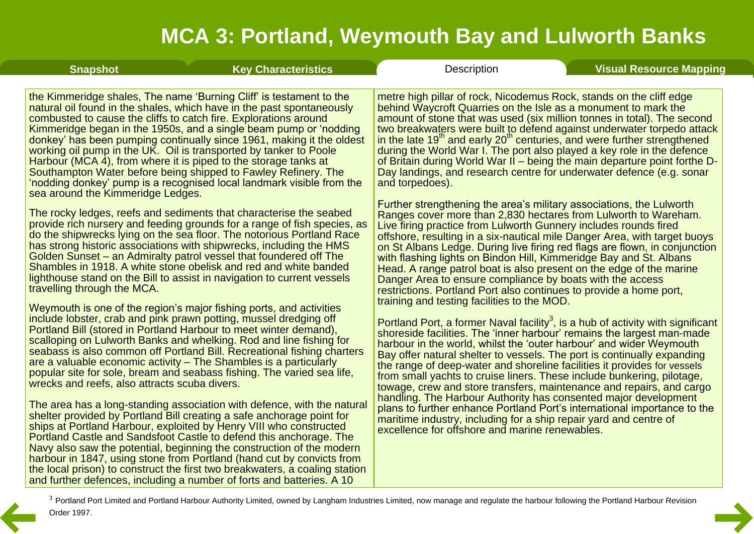| <b>Snapshot</b>                               | <b>Key Characteristics</b>                                                                                                                                                                                                                                                                                                                                                                                                                                                                                                                                                                                                                                        | <b>Description</b>                                                                                                                                                                                                                                                                                                                                                                                                                                                                                                                                                                                                                                                                                                                                                                                                          | <b>Visual Resource Mapping</b> |
|-----------------------------------------------|-------------------------------------------------------------------------------------------------------------------------------------------------------------------------------------------------------------------------------------------------------------------------------------------------------------------------------------------------------------------------------------------------------------------------------------------------------------------------------------------------------------------------------------------------------------------------------------------------------------------------------------------------------------------|-----------------------------------------------------------------------------------------------------------------------------------------------------------------------------------------------------------------------------------------------------------------------------------------------------------------------------------------------------------------------------------------------------------------------------------------------------------------------------------------------------------------------------------------------------------------------------------------------------------------------------------------------------------------------------------------------------------------------------------------------------------------------------------------------------------------------------|--------------------------------|
| sea around the Kimmeridge Ledges.             | the Kimmeridge shales, The name 'Burning Cliff' is testament to the<br>natural oil found in the shales, which have in the past spontaneously<br>combusted to cause the cliffs to catch fire. Explorations around<br>Kimmeridge began in the 1950s, and a single beam pump or 'nodding<br>donkey' has been pumping continually since 1961, making it the oldest<br>working oil pump in the UK. Oil is transported by tanker to Poole<br>Harbour (MCA 4), from where it is piped to the storage tanks at<br>Southampton Water before being shipped to Fawley Refinery. The<br>'nodding donkey' pump is a recognised local landmark visible from the                 | metre high pillar of rock, Nicodemus Rock, stands on the cliff edge<br>behind Waycroft Quarries on the Isle as a monument to mark the<br>amount of stone that was used (six million tonnes in total). The second<br>two breakwaters were built to defend against underwater torpedo attack<br>in the late $19th$ and early $20th$ centuries, and were further strengthened<br>during the World War I. The port also played a key role in the defence<br>of Britain during World War II – being the main departure point forthe D-<br>Day landings, and research centre for underwater defence (e.g. sonar<br>and torpedoes).                                                                                                                                                                                                |                                |
| travelling through the MCA.                   | The rocky ledges, reefs and sediments that characterise the seabed<br>provide rich nursery and feeding grounds for a range of fish species, as<br>do the shipwrecks lying on the sea floor. The notorious Portland Race<br>has strong historic associations with shipwrecks, including the HMS<br>Golden Sunset – an Admiralty patrol vessel that foundered off The<br>Shambles in 1918. A white stone obelisk and red and white banded<br>lighthouse stand on the Bill to assist in navigation to current vessels<br>Weymouth is one of the region's major fishing ports, and activities                                                                         | Further strengthening the area's military associations, the Lulworth<br>Ranges cover more than 2,830 hectares from Lulworth to Wareham.<br>Live firing practice from Lulworth Gunnery includes rounds fired<br>offshore, resulting in a six-nautical mile Danger Area, with target buoys<br>on St Albans Ledge. During live firing red flags are flown, in conjunction<br>with flashing lights on Bindon Hill, Kimmeridge Bay and St. Albans<br>Head. A range patrol boat is also present on the edge of the marine<br>Danger Area to ensure compliance by boats with the access<br>restrictions. Portland Port also continues to provide a home port,<br>training and testing facilities to the MOD.                                                                                                                       |                                |
| wrecks and reefs, also attracts scuba divers. | include lobster, crab and pink prawn potting, mussel dredging off<br>Portland Bill (stored in Portland Harbour to meet winter demand),<br>scalloping on Lulworth Banks and whelking. Rod and line fishing for<br>seabass is also common off Portland Bill. Recreational fishing charters<br>are a valuable economic activity – The Shambles is a particularly<br>popular site for sole, bream and seabass fishing. The varied sea life,<br>The area has a long-standing association with defence, with the natural<br>shelter provided by Portland Bill creating a safe anchorage point for<br>ships at Portland Harbour, exploited by Henry VIII who constructed | Portland Port, a former Naval facility <sup>3</sup> , is a hub of activity with significant<br>shoreside facilities. The 'inner harbour' remains the largest man-made<br>harbour in the world, whilst the 'outer harbour' and wider Weymouth<br>Bay offer natural shelter to vessels. The port is continually expanding<br>the range of deep-water and shoreline facilities it provides for vessels<br>from small yachts to cruise liners. These include bunkering, pilotage,<br>towage, crew and store transfers, maintenance and repairs, and cargo<br>handling. The Harbour Authority has consented major development<br>plans to further enhance Portland Port's international importance to the<br>maritime industry, including for a ship repair yard and centre of<br>excellence for offshore and marine renewables. |                                |

<sup>3</sup> Portland Port Limited and Portland Harbour Authority Limited, owned by Langham Industries Limited, now manage and regulate the harbour following the Portland Harbour Revision Order 1997.

Portland Castle and Sandsfoot Castle to defend this anchorage. The Navy also saw the potential, beginning the construction of the modern harbour in 1847, using stone from Portland (hand cut by convicts from the local prison) to construct the first two breakwaters, a coaling station and further defences, including a number of forts and batteries. A 10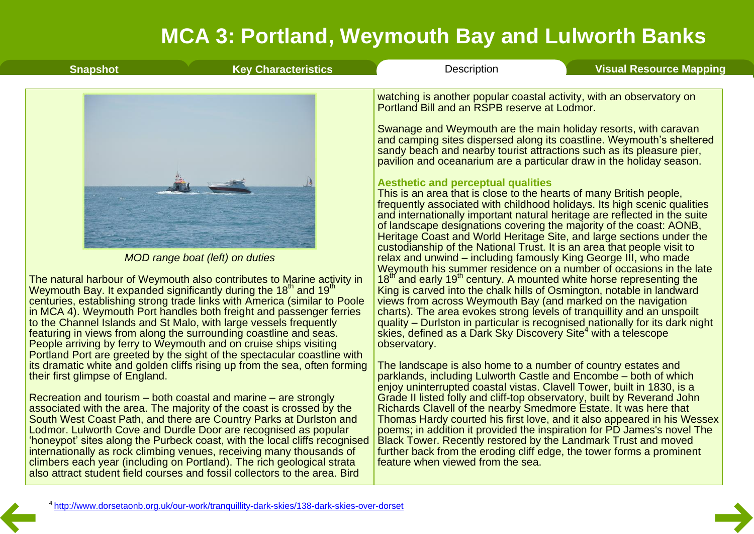| <b>Key Characteristics</b><br><b>Snapshot</b>                                                                                                                                                                                                                                                                                                                                                                                                                                                                                                                                                                                                                                                                                      | Description<br><b>Visual Resource Mapping</b>                                                                                                                                                                                                                                                                                                                                                                                                                                                                                                                                                                                                                                                                                                                                                                                                                                                                                                                                                                                                                                                                                                                                                                                                                                                                                                                                                                                                                                                                                                                                                                                     |  |
|------------------------------------------------------------------------------------------------------------------------------------------------------------------------------------------------------------------------------------------------------------------------------------------------------------------------------------------------------------------------------------------------------------------------------------------------------------------------------------------------------------------------------------------------------------------------------------------------------------------------------------------------------------------------------------------------------------------------------------|-----------------------------------------------------------------------------------------------------------------------------------------------------------------------------------------------------------------------------------------------------------------------------------------------------------------------------------------------------------------------------------------------------------------------------------------------------------------------------------------------------------------------------------------------------------------------------------------------------------------------------------------------------------------------------------------------------------------------------------------------------------------------------------------------------------------------------------------------------------------------------------------------------------------------------------------------------------------------------------------------------------------------------------------------------------------------------------------------------------------------------------------------------------------------------------------------------------------------------------------------------------------------------------------------------------------------------------------------------------------------------------------------------------------------------------------------------------------------------------------------------------------------------------------------------------------------------------------------------------------------------------|--|
| MOD range boat (left) on duties<br>The natural harbour of Weymouth also contributes to Marine activity in<br>Weymouth Bay. It expanded significantly during the 18 <sup>th</sup> and 19 <sup>th</sup><br>centuries, establishing strong trade links with America (similar to Poole<br>in MCA 4). Weymouth Port handles both freight and passenger ferries<br>to the Channel Islands and St Malo, with large vessels frequently<br>featuring in views from along the surrounding coastline and seas.<br>People arriving by ferry to Weymouth and on cruise ships visiting<br>Portland Port are greeted by the sight of the spectacular coastline with<br>its dramatic white and golden cliffs rising up from the sea, often forming | watching is another popular coastal activity, with an observatory on<br>Portland Bill and an RSPB reserve at Lodmor.<br>Swanage and Weymouth are the main holiday resorts, with caravan<br>and camping sites dispersed along its coastline. Weymouth's sheltered<br>sandy beach and nearby tourist attractions such as its pleasure pier,<br>pavilion and oceanarium are a particular draw in the holiday season.<br><b>Aesthetic and perceptual qualities</b><br>This is an area that is close to the hearts of many British people,<br>frequently associated with childhood holidays. Its high scenic qualities<br>and internationally important natural heritage are reflected in the suite<br>of landscape designations covering the majority of the coast: AONB,<br>Heritage Coast and World Heritage Site, and large sections under the<br>custodianship of the National Trust. It is an area that people visit to<br>relax and unwind – including famously King George III, who made<br>Weymouth his summer residence on a number of occasions in the late<br>18 <sup>th</sup> and early 19 <sup>th</sup> century. A mounted white horse representing the<br>King is carved into the chalk hills of Osmington, notable in landward<br>views from across Weymouth Bay (and marked on the navigation<br>charts). The area evokes strong levels of tranquillity and an unspoilt<br>quality – Durlston in particular is recognised nationally for its dark night<br>skies, defined as a Dark Sky Discovery Site <sup>4</sup> with a telescope<br>observatory.<br>The landscape is also home to a number of country estates and |  |
| their first glimpse of England.                                                                                                                                                                                                                                                                                                                                                                                                                                                                                                                                                                                                                                                                                                    | parklands, including Lulworth Castle and Encombe – both of which<br>enjoy uninterrupted coastal vistas. Clavell Tower, built in 1830, is a                                                                                                                                                                                                                                                                                                                                                                                                                                                                                                                                                                                                                                                                                                                                                                                                                                                                                                                                                                                                                                                                                                                                                                                                                                                                                                                                                                                                                                                                                        |  |
| Recreation and tourism – both coastal and marine – are strongly<br>associated with the area. The majority of the coast is crossed by the<br>South West Coast Path, and there are Country Parks at Duriston and<br>Lodmor. Lulworth Cove and Durdle Door are recognised as popular<br>'honeypot' sites along the Purbeck coast, with the local cliffs recognised                                                                                                                                                                                                                                                                                                                                                                    | Grade II listed folly and cliff-top observatory, built by Reverand John<br>Richards Clavell of the nearby Smedmore Estate. It was here that<br>Thomas Hardy courted his first love, and it also appeared in his Wessex<br>poems; in addition it provided the inspiration for PD James's novel The<br>Black Tower. Recently restored by the Landmark Trust and moved                                                                                                                                                                                                                                                                                                                                                                                                                                                                                                                                                                                                                                                                                                                                                                                                                                                                                                                                                                                                                                                                                                                                                                                                                                                               |  |

poems; in addition it provided the inspiration for PD James's novel The Black Tower. Recently restored by the Landmark Trust and moved further back from the eroding cliff edge, the tower forms a prominent feature when viewed from the sea.

internationally as rock climbing venues, receiving many thousands of climbers each year (including on Portland). The rich geological strata also attract student field courses and fossil collectors to the area. Bird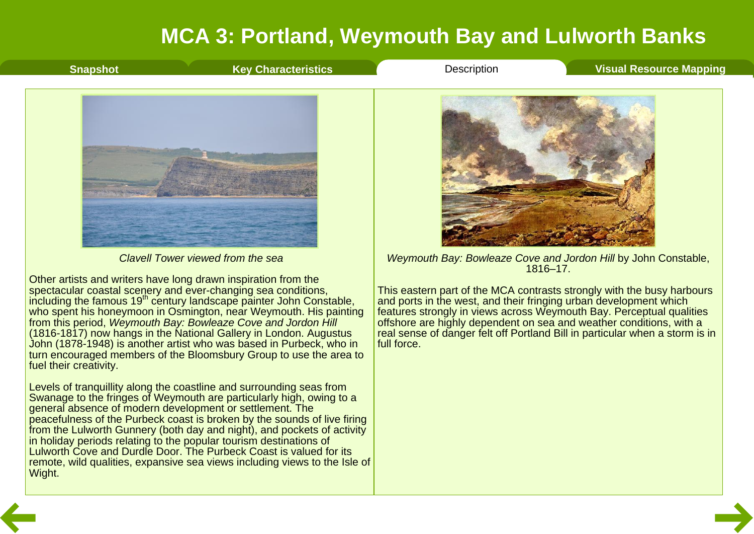<span id="page-8-0"></span>

from this period, *Weymouth Bay: Bowleaze Cove and Jordon Hill* (1816-1817) now hangs in the National Gallery in London. Augustus

Levels of tranquillity along the coastline and surrounding seas from Swanage to the fringes of Weymouth are particularly high, owing to a

peacefulness of the Purbeck coast is broken by the sounds of live firing from the Lulworth Gunnery (both day and night), and pockets of activity

general absence of modern development or settlement. The

in holiday periods relating to the popular tourism destinations of Lulworth Cove and Durdle Door. The Purbeck Coast is valued for its remote, wild qualities, expansive sea views including views to the Isle of

fuel their creativity.

Wight.

John (1878-1948) is another artist who was based in Purbeck, who in turn encouraged members of the Bloomsbury Group to use the area to and ports in the west, and their fringing urban development which features strongly in views across Weymouth Bay. Perceptual qualities offshore are highly dependent on sea and weather conditions, with a real sense of danger felt off Portland Bill in particular when a storm is in full force.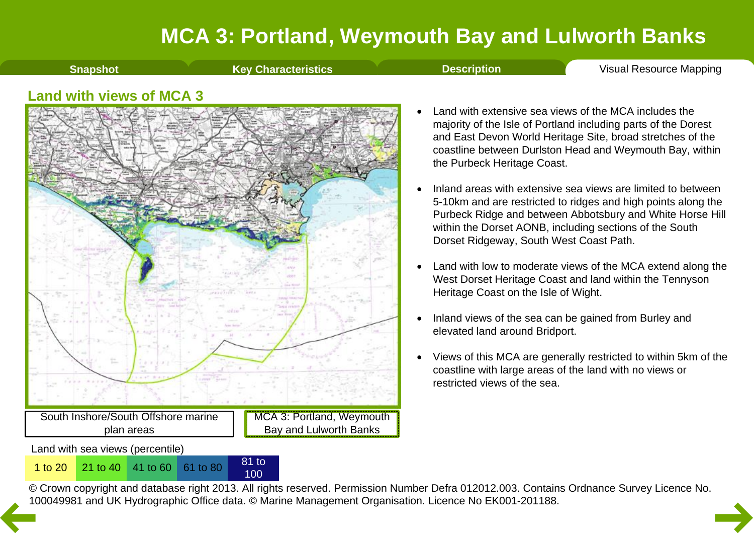**[Snapshot](#page-1-0) Key [Characteristics](#page-3-0) [Description](#page-4-0) Visual [Resource](#page-9-0) Mapping** 

#### <span id="page-9-0"></span>**Land with views of MCA 3**



100

- · Land with extensive sea views of the MCA includes the majority of the Isle of Portland including parts of the Dorest and East Devon World Heritage Site, broad stretches of the coastline between Durlston Head and Weymouth Bay, within the Purbeck Heritage Coast.
- Inland areas with extensive sea views are limited to between 5-10km and are restricted to ridges and high points along the Purbeck Ridge and between Abbotsbury and White Horse Hill within the Dorset AONB, including sections of the South Dorset Ridgeway, South West Coast Path.
- Land with low to moderate views of the MCA extend along the West Dorset Heritage Coast and land within the Tennyson Heritage Coast on the Isle of Wight.
- · Inland views of the sea can be gained from Burley and elevated land around Bridport.
- · Views of this MCA are generally restricted to within 5km of the coastline with large areas of the land with no views or restricted views of the sea.

© Crown copyright and database right 2013. All rights reserved. Permission Number Defra 012012.003. Contains Ordnance Survey Licence No. 1 to 20<sup>21</sup> to 40<sup>41</sup> to 60<sup>61</sup> to 80<sup>81</sup> to 80<sup>81</sup> to 80<sup>81</sup> to [10](#page-8-0)0<br>© Crown copyright and database right 2013. All rights reserved. Permission Number Defra 012012.003. Contain<br>100049981 and UK Hydrographic Office data. ©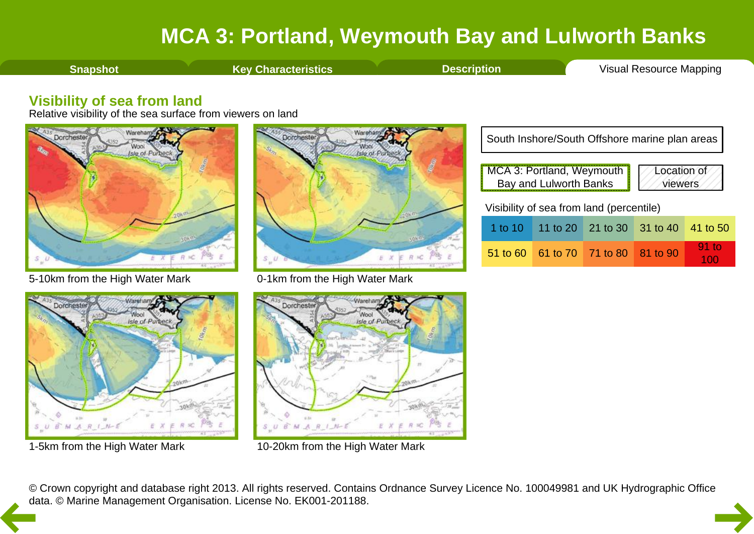<span id="page-10-0"></span>**[Snapshot](#page-1-0) Key [Characteristics](#page-3-0) [Description](#page-4-0) Visual [Resource](#page-9-0) Mapping** 

#### **Visibility of sea from land**

Relative visibility of the sea surface from viewers on land



5-10km from the High Water Mark



0-1km from the High Water Mark





1-5km from the High Water Mark



10-20km from the High Water Mark

© Crown copyright and database right 2013. All rights reserved. Contains Ordnance Survey Licence No. 100049981 and UK Hydrographic Office [da](#page-9-0)ta. © Marine Management Organisation. License No. EK001-201188.